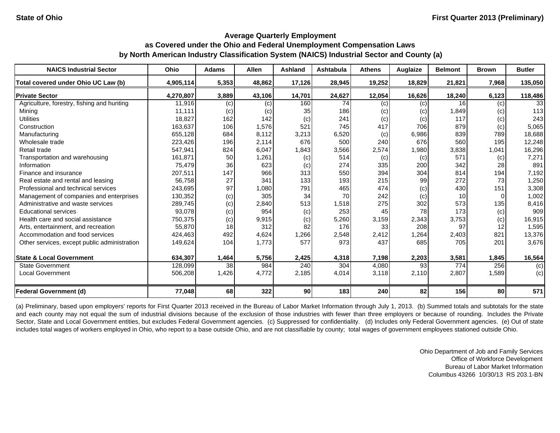| <b>NAICS Industrial Sector</b>               | <b>Ohio</b> | <b>Adams</b> | <b>Allen</b> | <b>Ashland</b> | Ashtabula | <b>Athens</b> | <b>Auglaize</b> | <b>Belmont</b> | <b>Brown</b> | <b>Butler</b> |
|----------------------------------------------|-------------|--------------|--------------|----------------|-----------|---------------|-----------------|----------------|--------------|---------------|
| Total covered under Ohio UC Law (b)          | 4,905,114   | 5,353        | 48,862       | 17,126         | 28,945    | 19,252        | 18,829          | 21,821         | 7,968        | 135,050       |
| <b>Private Sector</b>                        | 4,270,807   | 3,889        | 43,106       | 14,701         | 24,627    | 12,054        | 16,626          | 18,240         | 6,123        | 118,486       |
| Agriculture, forestry, fishing and hunting   | 11,916      | (c)          | (c)          | 160            | 74        | (c)           | (c)             | 16             | (c)          | 33            |
| Mining                                       | 11,111      | (c)          | (c)          | 35             | 186       | (c)           | (c)             | 1,849          | (c)          | 113           |
| <b>Utilities</b>                             | 18,827      | 162          | 142          | (c)            | 241       | (c)           | (c)             | 117            | (c)          | 243           |
| Construction                                 | 163,637     | 106          | 1,576        | 521            | 745       | 417           | 706             | 879            | (c)          | 5,065         |
| Manufacturing                                | 655,128     | 684          | 8,112        | 3,213          | 6,520     | (c)           | 6,986           | 839            | 789          | 18,688        |
| Wholesale trade                              | 223,426     | 196          | 2,114        | 676            | 500       | 240           | 676             | 560            | 195          | 12,248        |
| Retail trade                                 | 547,941     | 824          | 6,047        | 1,843          | 3,566     | 2,574         | 1,980           | 3,838          | 1,041        | 16,296        |
| Transportation and warehousing               | 161,871     | 50           | 1,261        | (c)            | 514       | (c)           | (c)             | 571            | (c)          | 7,271         |
| Information                                  | 75,479      | 36           | 623          | (c)            | 274       | 335           | 200             | 342            | 28           | 891           |
| Finance and insurance                        | 207,511     | 147          | 966          | 313            | 550       | 394           | 304             | 814            | 194          | 7,192         |
| Real estate and rental and leasing           | 56,758      | 27           | 341          | 133            | 193       | 215           | 99              | 272            | 73           | 1,250         |
| Professional and technical services          | 243,695     | 97           | 1,080        | 791            | 465       | 474           | (c)             | 430            | 151          | 3,308         |
| Management of companies and enterprises      | 130,352     | (c)          | 305          | 34             | 70        | 242           | (c)             | 10             | n            | 1,002         |
| Administrative and waste services            | 289,745     | (c)          | 2,840        | 513            | 1,518     | 275           | 302             | 573            | 135          | 8,416         |
| <b>Educational services</b>                  | 93,078      | (c)          | 954          | (c)            | 253       | 45            | 78              | 173            | (c)          | 909           |
| Health care and social assistance            | 750,375     | (c)          | 9,915        | (c)            | 5,260     | 3,159         | 2,343           | 3,753          | (c)          | 16,915        |
| Arts, entertainment, and recreation          | 55,870      | 18           | 312          | 82             | 176       | 33            | 208             | 97             | 12           | 1,595         |
| Accommodation and food services              | 424,463     | 492          | 4,624        | 1,266          | 2,548     | 2,412         | 1,264           | 2,403          | 821          | 13,376        |
| Other services, except public administration | 149,624     | 104          | 1,773        | 577            | 973       | 437           | 685             | 705            | 201          | 3,676         |
| <b>State &amp; Local Government</b>          | 634,307     | 1,464        | 5,756        | 2,425          | 4,318     | 7,198         | 2,203           | 3,581          | 1,845        | 16,564        |
| State Government                             | 128,099     | 38           | 984          | 240            | 304       | 4,080         | 93              | 774            | 256          | (c)           |
| <b>Local Government</b>                      | 506,208     | 1,426        | 4,772        | 2,185          | 4,014     | 3,118         | 2,110           | 2,807          | 1,589        | (c)           |
| Federal Government (d)                       | 77,048      | 68           | 322          | 90             | 183       | 240           | 82              | 156            | 80           | 571           |

(a) Preliminary, based upon employers' reports for First Quarter 2013 received in the Bureau of Labor Market Information through July 1, 2013. (b) Summed totals and subtotals for the state and each county may not equal the sum of industrial divisions because of the exclusion of those industries with fewer than three employers or because of rounding. Includes the Private Sector, State and Local Government entities, but excludes Federal Government agencies. (c) Suppressed for confidentiality. (d) Includes only Federal Government agencies. (e) Out of state includes total wages of workers employed in Ohio, who report to a base outside Ohio, and are not classifiable by county; total wages of government employees stationed outside Ohio.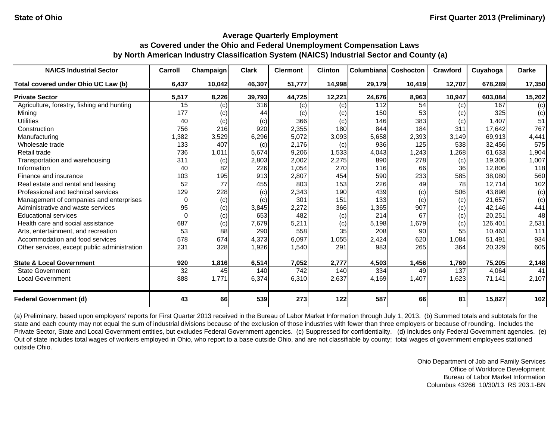| <b>NAICS Industrial Sector</b>               | Carroll  | Champaign | <b>Clark</b> | <b>Clermont</b> | <b>Clinton</b> | Columbiana | Coshocton | Crawford | Cuyahoga | <b>Darke</b> |
|----------------------------------------------|----------|-----------|--------------|-----------------|----------------|------------|-----------|----------|----------|--------------|
| Total covered under Ohio UC Law (b)          | 6,437    | 10,042    | 46,307       | 51,777          | 14,998         | 29,179     | 10,419    | 12,707   | 678,289  | 17,350       |
| <b>Private Sector</b>                        | 5,517    | 8,226     | 39,793       | 44,725          | 12,221         | 24,676     | 8,963     | 10,947   | 603,084  | 15,202       |
| Agriculture, forestry, fishing and hunting   | 15       | (c)       | 316          | (c)             | (c)            | 112        | 54        | (c)      | 167      | (c)          |
| Mining                                       | 177      | (c)       | 44           | (c)             | (c)            | 150        | 53        | (c)      | 325      | (c)          |
| <b>Utilities</b>                             | 40       | (c)       | (c)          | 366             | (c)            | 146        | 383       | (c)      | 1,407    | 51           |
| Construction                                 | 756      | 216       | 920          | 2,355           | 180            | 844        | 184       | 311      | 17,642   | 767          |
| Manufacturing                                | 1,382    | 3,529     | 6,296        | 5,072           | 3,093          | 5,658      | 2,393     | 3,149    | 69,913   | 4,441        |
| Wholesale trade                              | 133      | 407       | (c)          | 2,176           | (c)            | 936        | 125       | 538      | 32,456   | 575          |
| Retail trade                                 | 736      | 1,011     | 5,674        | 9,206           | 1,533          | 4,043      | 1,243     | 1,268    | 61,633   | 1,904        |
| Transportation and warehousing               | 311      | (c)       | 2,803        | 2,002           | 2,275          | 890        | 278       | (c)      | 19,305   | 1,007        |
| Information                                  | 40       | 82        | 226          | 1,054           | 270            | 116        | 66        | 36       | 12,806   | 118          |
| Finance and insurance                        | 103      | 195       | 913          | 2,807           | 454            | 590        | 233       | 585      | 38,080   | 560          |
| Real estate and rental and leasing           | 52       | 77        | 455          | 803             | 153            | 226        | 49        | 78       | 12,714   | 102          |
| Professional and technical services          | 129      | 228       | (c)          | 2,343           | 190            | 439        | (c)       | 506      | 43,898   | (c)          |
| Management of companies and enterprises      | $\Omega$ | (c)       | (c)          | 301             | 151            | 133        | (c)       | (c)      | 21,657   | (c)          |
| Administrative and waste services            | 95       | (c)       | 3,845        | 2,272           | 366            | 1,365      | 907       | (c)      | 42,146   | 441          |
| <b>Educational services</b>                  | $\Omega$ | (c)       | 653          | 482             | (c)            | 214        | 67        | (c)      | 20,251   | 48           |
| Health care and social assistance            | 687      | (c)       | 7,679        | 5,211           | (c)            | 5,198      | 1,679     | (c)      | 126.401  | 2,531        |
| Arts, entertainment, and recreation          | 53       | 88        | 290          | 558             | 35             | 208        | 90        | 55       | 10,463   | 111          |
| Accommodation and food services              | 578      | 674       | 4,373        | 6,097           | 1,055          | 2,424      | 620       | 1,084    | 51,491   | 934          |
| Other services, except public administration | 231      | 328       | 1,926        | 1,540           | 291            | 983        | 265       | 364      | 20,329   | 605          |
| <b>State &amp; Local Government</b>          | 920      | 1,816     | 6,514        | 7,052           | 2,777          | 4,503      | 1,456     | 1,760    | 75,205   | 2,148        |
| <b>State Government</b>                      | 32       | 45        | 140          | 742             | 140            | 334        | 49        | 137      | 4,064    | 41           |
| Local Government                             | 888      | 1,771     | 6,374        | 6,310           | 2,637          | 4,169      | 1,407     | 1,623    | 71,141   | 2,107        |
| <b>Federal Government (d)</b>                | 43       | 66        | 539          | 273             | 122            | 587        | 66        | 81       | 15,827   | 102          |

(a) Preliminary, based upon employers' reports for First Quarter 2013 received in the Bureau of Labor Market Information through July 1, 2013. (b) Summed totals and subtotals for the state and each county may not equal the sum of industrial divisions because of the exclusion of those industries with fewer than three employers or because of rounding. Includes the Private Sector, State and Local Government entities, but excludes Federal Government agencies. (c) Suppressed for confidentiality. (d) Includes only Federal Government agencies. (e) Out of state includes total wages of workers employed in Ohio, who report to a base outside Ohio, and are not classifiable by county; total wages of government employees stationed outside Ohio.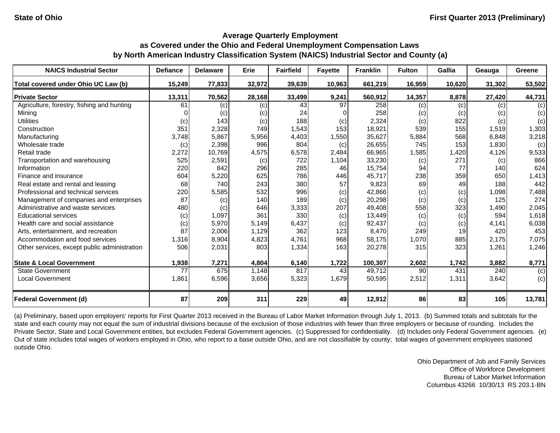| <b>NAICS Industrial Sector</b>               | <b>Defiance</b> | <b>Delaware</b> | Erie   | <b>Fairfield</b> | <b>Fayette</b> | <b>Franklin</b> | <b>Fulton</b> | Gallia | Geauga | Greene |
|----------------------------------------------|-----------------|-----------------|--------|------------------|----------------|-----------------|---------------|--------|--------|--------|
| Total covered under Ohio UC Law (b)          | 15,249          | 77,833          | 32,972 | 39,639           | 10,963         | 661,219         | 16,959        | 10,620 | 31,302 | 53,502 |
| <b>Private Sector</b>                        | 13,311          | 70,562          | 28,168 | 33,499           | 9,241          | 560,912         | 14,357        | 8,878  | 27,420 | 44,731 |
| Agriculture, forestry, fishing and hunting   | 61              | (c)             | (c)    | 43               | 97             | 258             | (c)           | (c)    | (c)    | (c)    |
| Mining                                       |                 | (c)             | (c)    | 24               |                | 258             | (c)           | (c)    | (c)    | (c)    |
| <b>Utilities</b>                             | (c)             | 143             | (c)    | 188              | (c)            | 2,324           | (c)           | 822    | (c)    | (c)    |
| Construction                                 | 351             | 2,328           | 749    | 1,543            | 153            | 18,921          | 539           | 155    | 1,519  | 1,303  |
| Manufacturing                                | 3,748           | 5,867           | 5,956  | 4,403            | 1,550          | 35,627          | 5,884         | 568    | 6,848  | 3,218  |
| Wholesale trade                              | (c)             | 2,398           | 996    | 804              | (c)            | 26,655          | 745           | 153    | 1,830  | (c)    |
| Retail trade                                 | 2,272           | 10,769          | 4,575  | 6,578            | 2,484          | 66,965          | 1,585         | 1,420  | 4,126  | 9,533  |
| Transportation and warehousing               | 525             | 2,591           | (c)    | 722              | 1,104          | 33,230          | (c)           | 271    | (c)    | 866    |
| Information                                  | 220             | 842             | 296    | 285              | 46             | 15,754          | 94            | 77     | 140    | 624    |
| Finance and insurance                        | 604             | 5,220           | 625    | 786              | 446            | 45,717          | 238           | 359    | 650    | 1,413  |
| Real estate and rental and leasing           | 68              | 740             | 243    | 380              | 57             | 9,823           | 69            | 49     | 188    | 442    |
| Professional and technical services          | 220             | 5,585           | 532    | 996              | (c)            | 42,866          | (c)           | (c)    | 1,098  | 7,488  |
| Management of companies and enterprises      | 87              | (c)             | 140    | 189              | (c)            | 20,298          | (c)           | (c)    | 125    | 274    |
| Administrative and waste services            | 480             | (c)             | 646    | 3,333            | 207            | 49,408          | 558           | 323    | 1,490  | 2,045  |
| <b>Educational services</b>                  | (c)             | 1,097           | 361    | 330              | (c)            | 13,449          | (c)           | (c)    | 594    | 1,618  |
| Health care and social assistance            | (c)             | 5,970           | 5,149  | 6,437            | (c)            | 92,437          | (c)           | (c)    | 4,141  | 6,038  |
| Arts, entertainment, and recreation          | 87              | 2,006           | 1,129  | 362              | 123            | 8,470           | 249           | 19     | 420    | 453    |
| Accommodation and food services              | 1,316           | 8,904           | 4,823  | 4,761            | 968            | 58,175          | 1,070         | 885    | 2,175  | 7,075  |
| Other services, except public administration | 506             | 2,031           | 803    | 1,334            | 163            | 20,278          | 315           | 323    | 1,261  | 1,246  |
| <b>State &amp; Local Government</b>          | 1,938           | 7,271           | 4,804  | 6,140            | 1,722          | 100,307         | 2,602         | 1,742  | 3,882  | 8,771  |
| <b>State Government</b>                      | 77              | 675             | 1,148  | 817              | 43             | 49,712          | 90            | 431    | 240    | (c)    |
| <b>Local Government</b>                      | 1,861           | 6,596           | 3,656  | 5,323            | 1,679          | 50,595          | 2,512         | 1,311  | 3,642  | (c)    |
| <b>Federal Government (d)</b>                | 87              | 209             | 311    | 229              | 49             | 12,912          | 86            | 83     | 105    | 13,781 |

(a) Preliminary, based upon employers' reports for First Quarter 2013 received in the Bureau of Labor Market Information through July 1, 2013. (b) Summed totals and subtotals for the state and each county may not equal the sum of industrial divisions because of the exclusion of those industries with fewer than three employers or because of rounding. Includes the Private Sector, State and Local Government entities, but excludes Federal Government agencies. (c) Suppressed for confidentiality. (d) Includes only Federal Government agencies. (e) Out of state includes total wages of workers employed in Ohio, who report to a base outside Ohio, and are not classifiable by county; total wages of government employees stationed outside Ohio.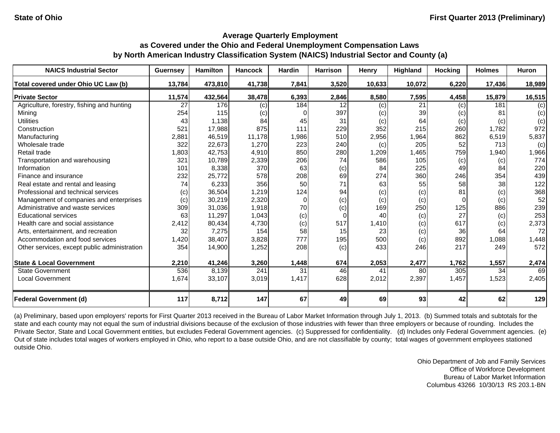| <b>NAICS Industrial Sector</b>               | <b>Guernsey</b> | <b>Hamilton</b> | <b>Hancock</b> | <b>Hardin</b> | <b>Harrison</b> | Henry  | Highland | <b>Hocking</b> | <b>Holmes</b> | <b>Huron</b> |
|----------------------------------------------|-----------------|-----------------|----------------|---------------|-----------------|--------|----------|----------------|---------------|--------------|
| Total covered under Ohio UC Law (b)          | 13,784          | 473,810         | 41,738         | 7,841         | 3,520           | 10,633 | 10,072   | 6,220          | 17,436        | 18,989       |
| <b>Private Sector</b>                        | 11,574          | 432,564         | 38,478         | 6,393         | 2,846           | 8,580  | 7,595    | 4,458          | 15,879        | 16,515       |
| Agriculture, forestry, fishing and hunting   | 27              | 176             | (c)            | 184           | 12              | (c)    | 21       | (c)            | 181           | (c)          |
| Mining                                       | 254             | 115             | (c)            |               | 397             | (c)    | 39       | (c)            | 81            | (c)          |
| <b>Utilities</b>                             | 43              | 1,138           | 84             | 45            | 31              | (c)    | 64       | (c)            | (c)           | (c)          |
| Construction                                 | 521             | 17,988          | 875            | 111           | 229             | 352    | 215      | 260            | 1,782         | 972          |
| Manufacturing                                | 2,881           | 46,519          | 11,178         | 1,986         | 510             | 2,956  | 1,964    | 862            | 6,519         | 5,837        |
| Wholesale trade                              | 322             | 22,673          | 1,270          | 223           | 240             | (c)    | 205      | 52             | 713           | (c)          |
| Retail trade                                 | 1,803           | 42,753          | 4,910          | 850           | 280             | 1,209  | 1,465    | 759            | 1,940         | 1,966        |
| Transportation and warehousing               | 321             | 10,789          | 2,339          | 206           | 74              | 586    | 105      | (c)            | (c)           | 774          |
| Information                                  | 101             | 8,338           | 370            | 63            | (c)             | 84     | 225      | 49             | 84            | 220          |
| Finance and insurance                        | 232             | 25,772          | 578            | 208           | 69              | 274    | 360      | 246            | 354           | 439          |
| Real estate and rental and leasing           | 74              | 6,233           | 356            | 50            | 71              | 63     | 55       | 58             | 38            | 122          |
| Professional and technical services          | (c)             | 36,504          | 1,219          | 124           | 94              | (c)    | (c)      | 81             | (c)           | 368          |
| Management of companies and enterprises      | (c)             | 30,219          | 2,320          | $\Omega$      | (c)             | (c)    | (c)      | 0              | (c)           | 52           |
| Administrative and waste services            | 309             | 31,036          | 1,918          | 70            | (c)             | 169    | 250      | 125            | 886           | 239          |
| <b>Educational services</b>                  | 63              | 11,297          | 1,043          | (c)           | 0               | 40     | (c)      | 27             | (c)           | 253          |
| Health care and social assistance            | 2,412           | 80,434          | 4,730          | (c)           | 517             | 1,410  | (c)      | 617            | (c)           | 2,373        |
| Arts, entertainment, and recreation          | 32              | 7,275           | 154            | 58            | 15              | 23     | (c)      | 36             | 64            | 72           |
| Accommodation and food services              | 1,420           | 38,407          | 3,828          | 777           | 195             | 500    | (c)      | 892            | 1,088         | 1,448        |
| Other services, except public administration | 354             | 14,900          | 1,252          | 208           | (c)             | 433    | 246      | 217            | 249           | 572          |
| <b>State &amp; Local Government</b>          | 2,210           | 41,246          | 3,260          | 1,448         | 674             | 2,053  | 2,477    | 1,762          | 1,557         | 2,474        |
| <b>State Government</b>                      | 536             | 8,139           | 241            | 31            | 46              | 41     | 80       | 305            | 34            | 69           |
| <b>Local Government</b>                      | 1,674           | 33,107          | 3,019          | 1,417         | 628             | 2,012  | 2,397    | 1,457          | 1,523         | 2,405        |
| <b>Federal Government (d)</b>                | 117             | 8,712           | 147            | 67            | 49              | 69     | 93       | 42             | 62            | 129          |

(a) Preliminary, based upon employers' reports for First Quarter 2013 received in the Bureau of Labor Market Information through July 1, 2013. (b) Summed totals and subtotals for the state and each county may not equal the sum of industrial divisions because of the exclusion of those industries with fewer than three employers or because of rounding. Includes the Private Sector, State and Local Government entities, but excludes Federal Government agencies. (c) Suppressed for confidentiality. (d) Includes only Federal Government agencies. (e) Out of state includes total wages of workers employed in Ohio, who report to a base outside Ohio, and are not classifiable by county; total wages of government employees stationed outside Ohio.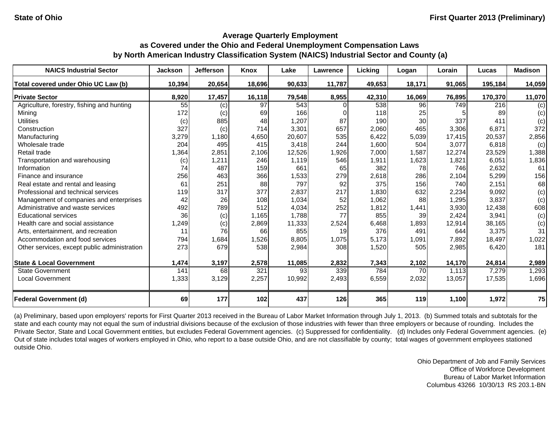| <b>NAICS Industrial Sector</b>               | <b>Jackson</b> | <b>Jefferson</b> | <b>Knox</b> | Lake   | Lawrence | Licking | Logan  | Lorain | Lucas   | <b>Madison</b> |
|----------------------------------------------|----------------|------------------|-------------|--------|----------|---------|--------|--------|---------|----------------|
| Total covered under Ohio UC Law (b)          | 10,394         | 20,654           | 18,696      | 90,633 | 11,787   | 49,653  | 18,171 | 91,065 | 195,184 | 14,059         |
| <b>Private Sector</b>                        | 8,920          | 17,457           | 16,118      | 79,548 | 8,955    | 42,310  | 16,069 | 76,895 | 170,370 | 11,070         |
| Agriculture, forestry, fishing and hunting   | 55             | (c)              | 97          | 543    |          | 538     | 96     | 749    | 216     | (c)            |
| Mining                                       | 172            | (c)              | 69          | 166    |          | 118     | 25     |        | 89      | (c)            |
| <b>Utilities</b>                             | (c)            | 885              | 48          | 1,207  | 87       | 190     | 30     | 337    | 411     | (c)            |
| Construction                                 | 327            | (c)              | 714         | 3,301  | 657      | 2,060   | 465    | 3,306  | 6,871   | 372            |
| Manufacturing                                | 3,279          | 1,180            | 4,650       | 20,607 | 535      | 6,422   | 5,039  | 17,415 | 20,537  | 2,856          |
| Wholesale trade                              | 204            | 495              | 415         | 3,418  | 244      | 1,600   | 504    | 3,077  | 6,818   | (c)            |
| Retail trade                                 | 1,364          | 2,851            | 2,106       | 12,526 | 1,926    | 7,000   | 1,587  | 12,274 | 23,529  | 1,388          |
| Transportation and warehousing               | (c)            | 1,211            | 246         | 1,119  | 546      | 1,911   | 1,623  | 1,821  | 6,051   | 1,836          |
| Information                                  | 74             | 487              | 159         | 661    | 65       | 382     | 78     | 746    | 2,632   | 61             |
| Finance and insurance                        | 256            | 463              | 366         | 1,533  | 279      | 2,618   | 286    | 2,104  | 5,299   | 156            |
| Real estate and rental and leasing           | 61             | 251              | 88          | 797    | 92       | 375     | 156    | 740    | 2,151   | 68             |
| Professional and technical services          | 119            | 317              | 377         | 2,837  | 217      | 1,830   | 632    | 2,234  | 9,092   | (c)            |
| Management of companies and enterprises      | 42             | 26               | 108         | 1,034  | 52       | 1,062   | 88     | 1,295  | 3,837   | (c)            |
| Administrative and waste services            | 492            | 789              | 512         | 4,034  | 252      | 1,812   | 1,441  | 3,930  | 12,438  | 608            |
| <b>Educational services</b>                  | 36             | (c)              | 1,165       | 1,788  | 77       | 855     | 39     | 2,424  | 3,941   | (c)            |
| Health care and social assistance            | 1,249          | (c)              | 2,869       | 11,333 | 2,524    | 6,468   | 1,893  | 12,914 | 38,165  | (c)            |
| Arts, entertainment, and recreation          | 11             | 76               | 66          | 855    | 19       | 376     | 491    | 644    | 3,375   | 31             |
| Accommodation and food services              | 794            | 1,684            | 1,526       | 8,805  | 1,075    | 5,173   | 1,091  | 7,892  | 18,497  | 1,022          |
| Other services, except public administration | 273            | 679              | 538         | 2,984  | 308      | 1,520   | 505    | 2,985  | 6,420   | 181            |
| <b>State &amp; Local Government</b>          | 1,474          | 3,197            | 2,578       | 11,085 | 2,832    | 7,343   | 2,102  | 14,170 | 24,814  | 2,989          |
| <b>State Government</b>                      | 141            | 68               | 321         | 93     | 339      | 784     | 70     | 1,113  | 7,279   | 1,293          |
| <b>Local Government</b>                      | 1,333          | 3,129            | 2,257       | 10,992 | 2,493    | 6,559   | 2,032  | 13,057 | 17,535  | 1,696          |
| <b>Federal Government (d)</b>                | 69             | 177              | 102         | 437    | 126      | 365     | 119    | 1,100  | 1,972   | 75             |

(a) Preliminary, based upon employers' reports for First Quarter 2013 received in the Bureau of Labor Market Information through July 1, 2013. (b) Summed totals and subtotals for the state and each county may not equal the sum of industrial divisions because of the exclusion of those industries with fewer than three employers or because of rounding. Includes the Private Sector, State and Local Government entities, but excludes Federal Government agencies. (c) Suppressed for confidentiality. (d) Includes only Federal Government agencies. (e) Out of state includes total wages of workers employed in Ohio, who report to a base outside Ohio, and are not classifiable by county; total wages of government employees stationed outside Ohio.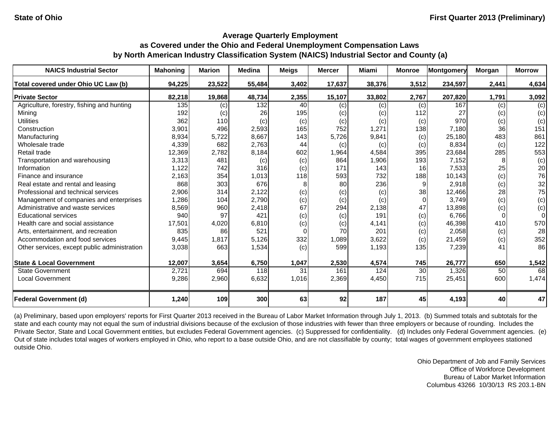| <b>NAICS Industrial Sector</b>               | <b>Mahoning</b> | <b>Marion</b> | <b>Medina</b> | <b>Meigs</b> | <b>Mercer</b> | <b>Miami</b> | <b>Monroe</b> | <b>Montgomery</b> | Morgan | <b>Morrow</b> |
|----------------------------------------------|-----------------|---------------|---------------|--------------|---------------|--------------|---------------|-------------------|--------|---------------|
| Total covered under Ohio UC Law (b)          | 94,225          | 23,522        | 55,484        | 3,402        | 17,637        | 38,376       | 3,512         | 234,597           | 2,441  | 4,634         |
| <b>Private Sector</b>                        | 82,218          | 19,868        | 48,734        | 2,355        | 15,107        | 33,802       | 2,767         | 207,820           | 1,791  | 3,092         |
| Agriculture, forestry, fishing and hunting   | 135             | (c)           | 132           | 40           | (c)           | (c)          | (c)           | 167               | (c)    | (c)           |
| Mining                                       | 192             | (c)           | 26            | 195          | (c)           | (c)          | 112           | 27                | (c)    | (c)           |
| <b>Utilities</b>                             | 362             | 110           | (c)           | (c)          | (c)           | (c)          | (c)           | 970               | (c)    | (c)           |
| Construction                                 | 3,901           | 496           | 2,593         | 165          | 752           | 1,271        | 138           | 7,180             | 36     | 151           |
| Manufacturing                                | 8,934           | 5,722         | 8,667         | 143          | 5,726         | 9,841        | (c)           | 25,180            | 483    | 861           |
| Wholesale trade                              | 4,339           | 682           | 2,763         | 44           | (c)           | (c)          | (c)           | 8,834             | (c)    | 122           |
| Retail trade                                 | 12,369          | 2,782         | 8,184         | 602          | 1,964         | 4,584        | 395           | 23,684            | 285    | 553           |
| Transportation and warehousing               | 3,313           | 481           | (c)           | (c)          | 864           | 1,906        | 193           | 7,152             |        | (c)           |
| Information                                  | 1,122           | 742           | 316           | (c)          | 171           | 143          | 16            | 7,533             | 25     | 20            |
| Finance and insurance                        | 2,163           | 354           | 1,013         | 118          | 593           | 732          | 188           | 10,143            | (c)    | 76            |
| Real estate and rental and leasing           | 868             | 303           | 676           | 8            | 80            | 236          | 9             | 2,918             | (c)    | 32            |
| Professional and technical services          | 2,906           | 314           | 2,122         | (c)          | (c)           | (c)          | 38            | 12,466            | 28     | 75            |
| Management of companies and enterprises      | 1,286           | 104           | 2,790         | (c)          | (c)           | (c)          | $\Omega$      | 3,749             | (c)    | (c)           |
| Administrative and waste services            | 8,569           | 960           | 2,418         | 67           | 294           | 2,138        | 47            | 13,898            | (c)    | (c)           |
| <b>Educational services</b>                  | 940             | 97            | 421           | (c)          | (c)           | 191          | (c)           | 6.766             |        | $\Omega$      |
| Health care and social assistance            | 17,501          | 4,020         | 6,810         | (c)          | (c)           | 4,141        | (c)           | 46,398            | 410    | 570           |
| Arts, entertainment, and recreation          | 835             | 86            | 521           | $\Omega$     | 70            | 201          | (c)           | 2,058             | (c)    | 28            |
| Accommodation and food services              | 9,445           | 1,817         | 5,126         | 332          | 1,089         | 3,622        | (c)           | 21,459            | (c)    | 352           |
| Other services, except public administration | 3,038           | 663           | 1,534         | (c)          | 599           | 1,193        | 135           | 7,239             | 41     | 86            |
| <b>State &amp; Local Government</b>          | 12,007          | 3,654         | 6,750         | 1,047        | 2,530         | 4,574        | 745           | 26,777            | 650    | 1,542         |
| <b>State Government</b>                      | 2,721           | 694           | 118           | 31           | 161           | 124          | 30            | 1,326             | 50     | 68            |
| <b>Local Government</b>                      | 9,286           | 2,960         | 6,632         | 1,016        | 2,369         | 4,450        | 715           | 25,451            | 600    | 1,474         |
| <b>Federal Government (d)</b>                | 1,240           | 109           | 300           | 63           | 92            | 187          | 45            | 4,193             | 40     | 47            |

(a) Preliminary, based upon employers' reports for First Quarter 2013 received in the Bureau of Labor Market Information through July 1, 2013. (b) Summed totals and subtotals for the state and each county may not equal the sum of industrial divisions because of the exclusion of those industries with fewer than three employers or because of rounding. Includes the Private Sector, State and Local Government entities, but excludes Federal Government agencies. (c) Suppressed for confidentiality. (d) Includes only Federal Government agencies. (e) Out of state includes total wages of workers employed in Ohio, who report to a base outside Ohio, and are not classifiable by county; total wages of government employees stationed outside Ohio.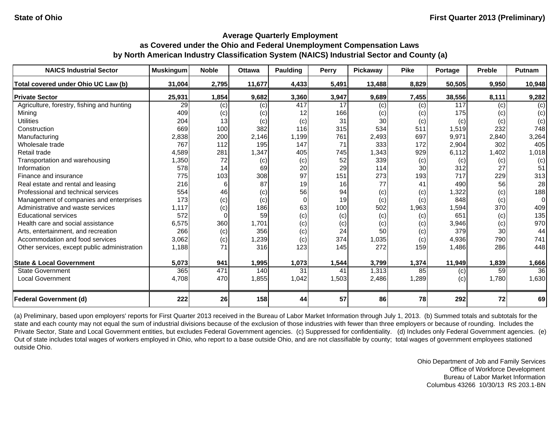| <b>NAICS Industrial Sector</b>               | <b>Muskingum</b> | <b>Noble</b> | <b>Ottawa</b> | Paulding | <b>Perry</b> | Pickaway | <b>Pike</b> | Portage | <b>Preble</b> | <b>Putnam</b> |
|----------------------------------------------|------------------|--------------|---------------|----------|--------------|----------|-------------|---------|---------------|---------------|
| Total covered under Ohio UC Law (b)          | 31,004           | 2,795        | 11,677        | 4,433    | 5,491        | 13,488   | 8,829       | 50,505  | 9,950         | 10,948        |
| <b>Private Sector</b>                        | 25,931           | 1,854        | 9,682         | 3,360    | 3,947        | 9,689    | 7,455       | 38,556  | 8,111         | 9,282         |
| Agriculture, forestry, fishing and hunting   | 29               | (c)          | (c)           | 417      | 17           | (c)      | (c)         | 117     | (c)           | (c)           |
| Mining                                       | 409              | (c)          | (c)           | 12       | 166          | (c)      | (c)         | 175     | (c)           | (c)           |
| <b>Utilities</b>                             | 204              | 13           | (c)           | (c)      | 31           | 30       | (c)         | (c)     | (c)           | (c)           |
| Construction                                 | 669              | 100          | 382           | 116      | 315          | 534      | 511         | 1,519   | 232           | 748           |
| Manufacturing                                | 2,838            | 200          | 2,146         | 1,199    | 761          | 2,493    | 697         | 9,971   | 2,840         | 3,264         |
| Wholesale trade                              | 767              | 112          | 195           | 147      | 71           | 333      | 172         | 2,904   | 302           | 405           |
| Retail trade                                 | 4,589            | 281          | 1,347         | 405      | 745          | 1,343    | 929         | 6,112   | 1,402         | 1,018         |
| Transportation and warehousing               | 1,350            | 72           | (c)           | (c)      | 52           | 339      | (c)         | (c)     | (c)           | (c)           |
| Information                                  | 578              | 14           | 69            | 20       | 29           | 114      | 30          | 312     | 27            | 51            |
| Finance and insurance                        | 775              | 103          | 308           | 97       | 151          | 273      | 193         | 717     | 229           | 313           |
| Real estate and rental and leasing           | 216              | 6            | 87            | 19       | 16           | 77       | 41          | 490     | 56            | 28            |
| Professional and technical services          | 554              | 46           | (c)           | 56       | 94           | (c)      | (c)         | 1,322   | (c)           | 188           |
| Management of companies and enterprises      | 173              | (c)          | (c)           | $\Omega$ | 19           | (c)      | (c)         | 848     | (c)           | $\Omega$      |
| Administrative and waste services            | 1,117            | (c)          | 186           | 63       | 100          | 502      | 1,963       | 1,594   | 370           | 409           |
| <b>Educational services</b>                  | 572              | $\Omega$     | 59            | (c)      | (c)          | (c)      | (c)         | 651     | (c)           | 135           |
| Health care and social assistance            | 6,575            | 360          | 1,701         | (c)      | (c)          | (c)      | (c)         | 3,946   | (c)           | 970           |
| Arts, entertainment, and recreation          | 266              | (c)          | 356           | (c)      | 24           | 50       | (c)         | 379     | 30            | 44            |
| Accommodation and food services              | 3,062            | (c)          | 1,239         | (c)      | 374          | 1,035    | (c)         | 4,936   | 790           | 741           |
| Other services, except public administration | 1,188            | 71           | 316           | 123      | 145          | 272      | 159         | 1,486   | 286           | 448           |
| <b>State &amp; Local Government</b>          | 5,073            | 941          | 1,995         | 1,073    | 1,544        | 3,799    | 1,374       | 11,949  | 1,839         | 1,666         |
| <b>State Government</b>                      | 365              | 471          | 140           | 31       | 41           | 1,313    | 85          | (c)     | 59            | 36            |
| <b>Local Government</b>                      | 4,708            | 470          | 1,855         | 1,042    | 1,503        | 2,486    | 1,289       | (c)     | 1,780         | 1,630         |
| <b>Federal Government (d)</b>                | 222              | 26           | 158           | 44       | 57           | 86       | 78          | 292     | 72            | 69            |

(a) Preliminary, based upon employers' reports for First Quarter 2013 received in the Bureau of Labor Market Information through July 1, 2013. (b) Summed totals and subtotals for the state and each county may not equal the sum of industrial divisions because of the exclusion of those industries with fewer than three employers or because of rounding. Includes the Private Sector, State and Local Government entities, but excludes Federal Government agencies. (c) Suppressed for confidentiality. (d) Includes only Federal Government agencies. (e) Out of state includes total wages of workers employed in Ohio, who report to a base outside Ohio, and are not classifiable by county; total wages of government employees stationed outside Ohio.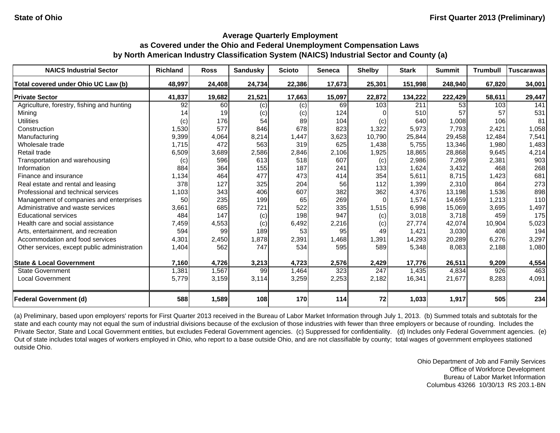| <b>NAICS Industrial Sector</b>               | <b>Richland</b> | <b>Ross</b> | <b>Sandusky</b> | <b>Scioto</b> | <b>Seneca</b> | <b>Shelby</b> | <b>Stark</b> | <b>Summit</b> | <b>Trumbull</b> | <b>Tuscarawas</b> |
|----------------------------------------------|-----------------|-------------|-----------------|---------------|---------------|---------------|--------------|---------------|-----------------|-------------------|
| Total covered under Ohio UC Law (b)          | 48,997          | 24,408      | 24,734          | 22,386        | 17,673        | 25,301        | 151,998      | 248,940       | 67,820          | 34,001            |
| <b>Private Sector</b>                        | 41,837          | 19,682      | 21,521          | 17,663        | 15,097        | 22,872        | 134,222      | 222,429       | 58,611          | 29,447            |
| Agriculture, forestry, fishing and hunting   | 92              | 60          | (c)             | (c)           | 69            | 103           | 211          | 53            | 103             | 141               |
| Mining                                       | 14              | 19          | (c)             | (c)           | 124           |               | 510          | 57            | 57              | 531               |
| <b>Utilities</b>                             | (c)             | 176         | 54              | 89            | 104           | (c)           | 640          | 1,008         | 106             | 81                |
| Construction                                 | 1,530           | 577         | 846             | 678           | 823           | 1,322         | 5,973        | 7,793         | 2,421           | 1,058             |
| Manufacturing                                | 9,399           | 4,064       | 8,214           | 1,447         | 3,623         | 10,790        | 25,844       | 29,458        | 12,484          | 7,541             |
| Wholesale trade                              | 1,715           | 472         | 563             | 319           | 625           | 1,438         | 5,755        | 13,346        | 1,980           | 1,483             |
| Retail trade                                 | 6,509           | 3,689       | 2,586           | 2,846         | 2,106         | 1,925         | 18,865       | 28,868        | 9,645           | 4,214             |
| Transportation and warehousing               | (c)             | 596         | 613             | 518           | 607           | (c)           | 2,986        | 7,269         | 2,381           | 903               |
| Information                                  | 884             | 364         | 155             | 187           | 241           | 133           | 1,624        | 3,432         | 468             | 268               |
| Finance and insurance                        | 1,134           | 464         | 477             | 473           | 414           | 354           | 5,611        | 8,715         | 1,423           | 681               |
| Real estate and rental and leasing           | 378             | 127         | 325             | 204           | 56            | 112           | 1,399        | 2,310         | 864             | 273               |
| Professional and technical services          | 1,103           | 343         | 406             | 607           | 382           | 362           | 4,376        | 13,198        | 1,536           | 898               |
| Management of companies and enterprises      | 50              | 235         | 199             | 65            | 269           | $\Omega$      | 1,574        | 14,659        | 1,213           | 110               |
| Administrative and waste services            | 3,661           | 685         | 721             | 522           | 335           | 1,515         | 6,998        | 15,069        | 3,695           | 1,497             |
| <b>Educational services</b>                  | 484             | 147         | (c)             | 198           | 947           | (c)           | 3,018        | 3,718         | 459             | 175               |
| Health care and social assistance            | 7,459           | 4,553       | (c)             | 6,492         | 2,216         | (c)           | 27,774       | 42,074        | 10,904          | 5,023             |
| Arts, entertainment, and recreation          | 594             | 99          | 189             | 53            | 95            | 49            | 1,421        | 3,030         | 408             | 194               |
| Accommodation and food services              | 4,301           | 2,450       | 1,878           | 2,391         | 1,468         | 1,391         | 14,293       | 20,289        | 6,276           | 3,297             |
| Other services, except public administration | 1,404           | 562         | 747             | 534           | 595           | 589           | 5,348        | 8,083         | 2,188           | 1,080             |
| <b>State &amp; Local Government</b>          | 7,160           | 4,726       | 3,213           | 4,723         | 2,576         | 2,429         | 17,776       | 26,511        | 9,209           | 4,554             |
| <b>State Government</b>                      | 1,381           | 1,567       | 99              | 1,464         | 323           | 247           | 1,435        | 4,834         | 926             | 463               |
| <b>Local Government</b>                      | 5,779           | 3,159       | 3,114           | 3,259         | 2,253         | 2,182         | 16,341       | 21,677        | 8,283           | 4,091             |
| <b>Federal Government (d)</b>                | 588             | 1,589       | 108             | 170           | 114           | 72            | 1,033        | 1,917         | 505             | 234               |

(a) Preliminary, based upon employers' reports for First Quarter 2013 received in the Bureau of Labor Market Information through July 1, 2013. (b) Summed totals and subtotals for the state and each county may not equal the sum of industrial divisions because of the exclusion of those industries with fewer than three employers or because of rounding. Includes the Private Sector, State and Local Government entities, but excludes Federal Government agencies. (c) Suppressed for confidentiality. (d) Includes only Federal Government agencies. (e) Out of state includes total wages of workers employed in Ohio, who report to a base outside Ohio, and are not classifiable by county; total wages of government employees stationed outside Ohio.